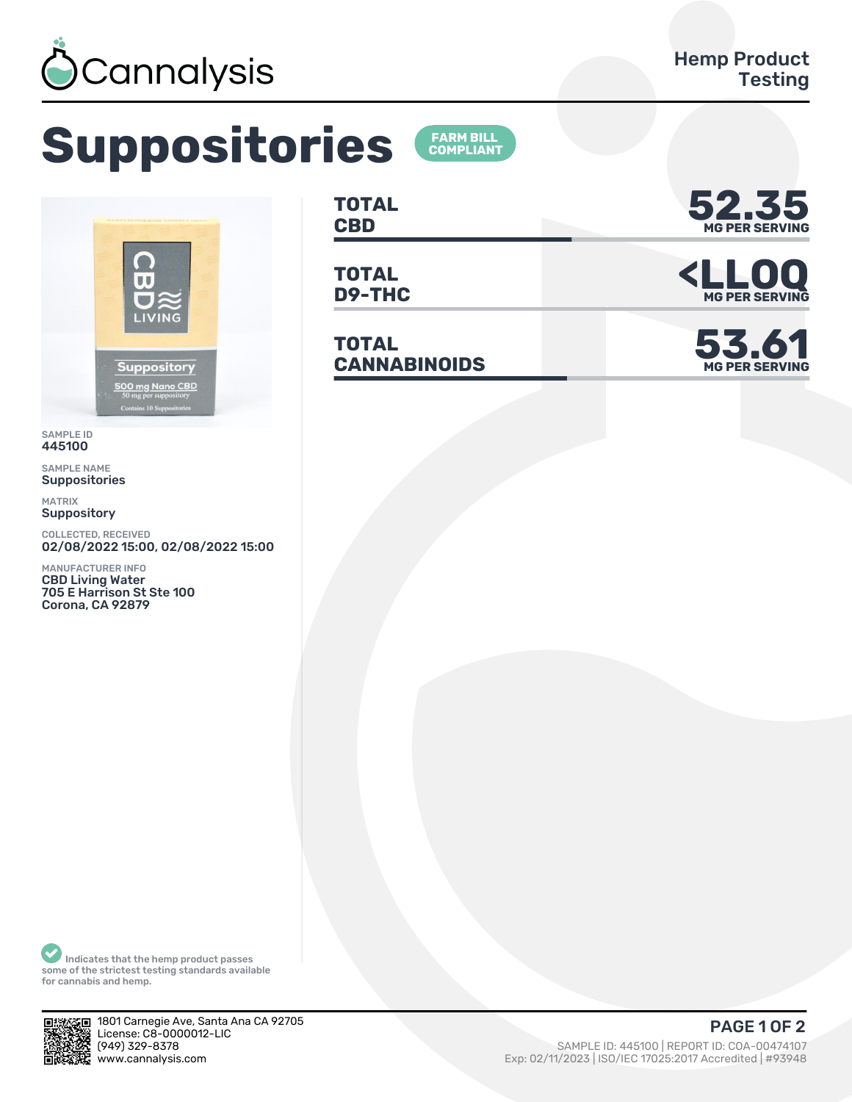

## **Suppositories**



SAMPLE ID 445100

SAMPLE NAME Suppositories

MATRIX **Suppository** 

COLLECTED, RECEIVED 02/08/2022 15:00, 02/08/2022 15:00

MANUFACTURER INFO CBD Living Water 705 E Harrison St Ste 100 Corona, CA 92879

**TOTAL**

**FARM BILL<br>COMPLIANT** 

**TOTAL**

**TOTAL CANNABINOIDS 53.61**



TOTAL **SPORTS AND STATE OF A SERVING MG PER SERVING**



Indicates that the hemp product passes some of the strictest testing standards available for cannabis and hemp.



1801 Carnegie Ave, Santa Ana CA 92705 License: C8-0000012-LIC<br>(949) 329-8378 (ȅȀȅ) ǿǾȅ-ȄǿȃȄ SAMPLE ID: ȀȀȁǽǼǼ | REPORT ID: COA-ǼǼȀȃȀǽǼȃ